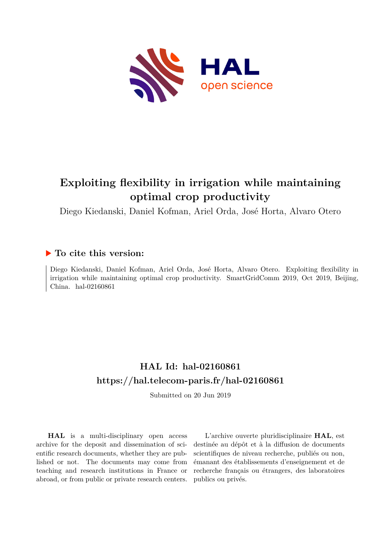

## **Exploiting flexibility in irrigation while maintaining optimal crop productivity**

Diego Kiedanski, Daniel Kofman, Ariel Orda, José Horta, Alvaro Otero

### **To cite this version:**

Diego Kiedanski, Daniel Kofman, Ariel Orda, José Horta, Alvaro Otero. Exploiting flexibility in irrigation while maintaining optimal crop productivity. SmartGridComm 2019, Oct 2019, Beijing, China. hal-02160861

## **HAL Id: hal-02160861 <https://hal.telecom-paris.fr/hal-02160861>**

Submitted on 20 Jun 2019

**HAL** is a multi-disciplinary open access archive for the deposit and dissemination of scientific research documents, whether they are published or not. The documents may come from teaching and research institutions in France or abroad, or from public or private research centers.

L'archive ouverte pluridisciplinaire **HAL**, est destinée au dépôt et à la diffusion de documents scientifiques de niveau recherche, publiés ou non, émanant des établissements d'enseignement et de recherche français ou étrangers, des laboratoires publics ou privés.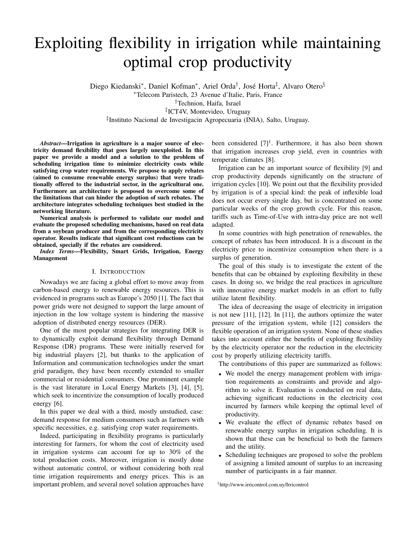# Exploiting flexibility in irrigation while maintaining optimal crop productivity

Diego Kiedanski\*, Daniel Kofman\*, Ariel Orda<sup>†</sup>, José Horta<sup>‡</sup>, Alvaro Otero<sup>§</sup>

<sup>∗</sup>Telecom Paristech, 23 Avenue d'Italie, Paris, France

†Technion, Haifa, Israel

‡ ICT4V, Montevideo, Uruguay

‡ Instituto Nacional de Investigacin Agropecuaria (INIA), Salto, Uruguay.

*Abstract*—Irrigation in agriculture is a major source of electricity demand flexibility that goes largely unexploited. In this paper we provide a model and a solution to the problem of scheduling irrigation time to minimize electricity costs while satisfying crop water requirements. We propose to apply rebates (aimed to consume renewable energy surplus) that were traditionally offered to the industrial sector, in the agricultural one. Furthermore an architecture is proposed to overcome some of the limitations that can hinder the adoption of such rebates. The architecture integrates scheduling techniques best studied in the networking literature.

Numerical analysis is performed to validate our model and evaluate the proposed scheduling mechanisms, based on real data from a soybean producer and from the corresponding electricity operator. Results indicate that significant cost reductions can be obtained, specially if the rebates are considered.

*Index Terms*—Flexibility, Smart Grids, Irrigation, Energy Management

#### I. INTRODUCTION

Nowadays we are facing a global effort to move away from carbon-based energy to renewable energy resources. This is evidenced in programs such as Europe's 2050 [1]. The fact that power grids were not designed to support the large amount of injection in the low voltage system is hindering the massive adoption of distributed energy resources (DER).

One of the most popular strategies for integrating DER is to dynamically exploit demand flexibility through Demand Response (DR) programs. These were initially reserved for big industrial players [2], but thanks to the application of Information and communication technologies under the smart grid paradigm, they have been recently extended to smaller commercial or residential consumers. One prominent example is the vast literature in Local Energy Markets [3], [4], [5], which seek to incentivize the consumption of locally produced energy [6].

In this paper we deal with a third, mostly unstudied, case: demand response for medium consumers such as farmers with specific necessities, e.g. satisfying crop water requirements.

Indeed, participating in flexibility programs is particularly interesting for farmers, for whom the cost of electricity used in irrigation systems can account for up to 30% of the total production costs. Moreover, irrigation is mostly done without automatic control, or without considering both real time irrigation requirements and energy prices. This is an important problem, and several novel solution approaches have

been considered  $[7]^1$ . Furthermore, it has also been shown that irrigation increases crop yield, even in countries with temperate climates [8].

Irrigation can be an important source of flexibility [9] and crop productivity depends significantly on the structure of irrigation cycles [10]. We point out that the flexibility provided by irrigation is of a special kind: the peak of inflexible load does not occur every single day, but is concentrated on some particular weeks of the crop growth cycle. For this reason, tariffs such as Time-of-Use with intra-day price are not well adapted.

In some countries with high penetration of renewables, the concept of rebates has been introduced. It is a discount in the electricity price to incentivize consumption when there is a surplus of generation.

The goal of this study is to investigate the extent of the benefits that can be obtained by exploiting flexibility in these cases. In doing so, we bridge the real practices in agriculture with innovative energy market models in an effort to fully utilize latent flexibility.

The idea of decreasing the usage of electricity in irrigation is not new [11], [12]. In [11], the authors optimize the water pressure of the irrigation system, while [12] considers the flexible operation of an irrigation system. None of these studies takes into account either the benefits of exploiting flexibility by the electricity operator nor the reduction in the electricity cost by properly utilizing electricity tariffs.

The contributions of this paper are summarized as follows:

- We model the energy management problem with irrigation requirements as constraints and provide and algorithm to solve it. Evaluation is conducted on real data, achieving significant reductions in the electricity cost incurred by farmers while keeping the optimal level of productivity.
- We evaluate the effect of dynamic rebates based on renewable energy surplus in irrigation scheduling. It is shown that these can be beneficial to both the farmers and the utility.
- Scheduling techniques are proposed to solve the problem of assigning a limited amount of surplus to an increasing number of participants in a fair manner.

<sup>1</sup>http://www.irricontrol.com.uy/Irricontrol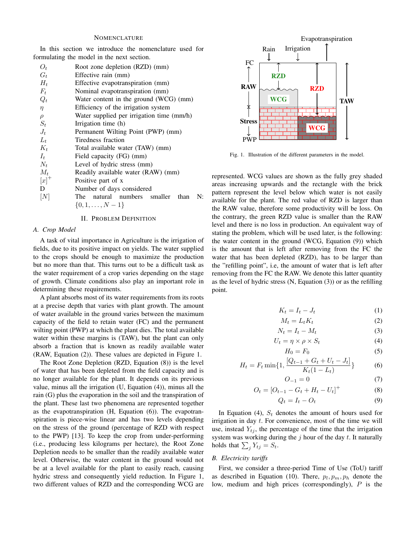#### NOMENCLATURE

In this section we introduce the nomenclature used for formulating the model in the next section.

| O+      | Root zone depletion (RZD) (mm)            |
|---------|-------------------------------------------|
| $G_t$   | Effective rain (mm)                       |
| $H_t$   | Effective evapotranspiration (mm)         |
| $F_t$   | Nominal evapotranspiration (mm)           |
| $Q_t$   | Water content in the ground (WCG) (mm)    |
| $\eta$  | Efficiency of the irrigation system       |
| $\rho$  | Water supplied per irrigation time (mm/h) |
| $S_t$   | Irrigation time (h)                       |
| $J_t$   | Permanent Wilting Point (PWP) (mm)        |
| $L_t$   | Tiredness fraction                        |
| $K_t$   | Total available water (TAW) (mm)          |
| $I_{t}$ | Field capacity (FG) (mm)                  |
| $N_t$   | Level of hydric stress (mm)               |
| $M_t$   | Readily available water (RAW) (mm)        |
| $[x]^+$ | Positive part of x                        |
| D       | Number of days considered                 |
| [N]     | The natural numbers smaller than<br>N:    |
|         | $\{0, 1, \ldots, N-1\}$                   |
|         |                                           |

#### II. PROBLEM DEFINITION

#### *A. Crop Model*

A task of vital importance in Agriculture is the irrigation of fields, due to its positive impact on yields. The water supplied to the crops should be enough to maximize the production but no more than that. This turns out to be a difficult task as the water requirement of a crop varies depending on the stage of growth. Climate conditions also play an important role in determining these requirements.

A plant absorbs most of its water requirements from its roots at a precise depth that varies with plant growth. The amount of water available in the ground varies between the maximum capacity of the field to retain water (FC) and the permanent wilting point (PWP) at which the plant dies. The total available water within these margins is (TAW), but the plant can only absorb a fraction that is known as readily available water (RAW, Equation (2)). These values are depicted in Figure 1.

The Root Zone Depletion (RZD, Equation (8)) is the level of water that has been depleted from the field capacity and is no longer available for the plant. It depends on its previous value, minus all the irrigation (U, Equation (4)), minus all the rain (G) plus the evaporation in the soil and the transpiration of the plant. These last two phenomena are represented together as the evapotranspiration (H, Equation (6)). The evapotranspiration is piece-wise linear and has two levels depending on the stress of the ground (percentage of RZD with respect to the PWP) [13]. To keep the crop from under-performing (i.e., producing less kilograms per hectare), the Root Zone Depletion needs to be smaller than the readily available water level. Otherwise, the water content in the ground would not be at a level available for the plant to easily reach, causing hydric stress and consequently yield reduction. In Figure 1, two different values of RZD and the corresponding WCG are



Fig. 1. Illustration of the different parameters in the model.

represented. WCG values are shown as the fully grey shaded areas increasing upwards and the rectangle with the brick pattern represent the level below which water is not easily available for the plant. The red value of RZD is larger than the RAW value, therefore some productivity will be loss. On the contrary, the green RZD value is smaller than the RAW level and there is no loss in production. An equivalent way of stating the problem, which will be used later, is the following: the water content in the ground (WCG, Equation (9)) which is the amount that is left after removing from the FC the water that has been depleted (RZD), has to be larger than the "refilling point", i.e, the amount of water that is left after removing from the FC the RAW. We denote this latter quantity as the level of hydric stress (N, Equation (3)) or as the refilling point.

$$
K_t = I_t - J_t \tag{1}
$$

$$
M_t = L_t K_t \tag{2}
$$

$$
N_t = I_t - M_t \tag{3}
$$

$$
U_t = \eta \times \rho \times S_t \tag{4}
$$

$$
H_0 = F_0 \tag{5}
$$

$$
H_t = F_t \min\{1, \frac{[Q_{t-1} + G_t + U_t - J_t]}{K_t(1 - L_t)}\}\tag{6}
$$

$$
= 0 \tag{7}
$$

$$
O_t = [O_{t-1} - G_t + H_t - U_t]^+
$$
\n(8)

$$
Q_t = I_t - O_t \tag{9}
$$

In Equation (4),  $S_t$  denotes the amount of hours used for irrigation in day t. For convenience, most of the time we will use, instead  $Y_{tj}$ , the percentage of the time that the irrigation system was working during the  $j$  hour of the day  $t$ . It naturally holds that  $\sum_j Y_{tj} = S_t$ .

 $O_{-1}$ 

#### *B. Electricity tariffs*

First, we consider a three-period Time of Use (ToU) tariff as described in Equation (10). There,  $p_l, p_m, p_h$  denote the low, medium and high prices (correspondingly), P is the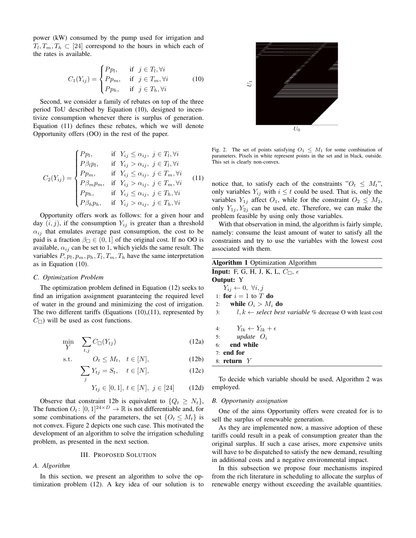power (kW) consumed by the pump used for irrigation and  $T_l, T_m, T_h \subset [24]$  correspond to the hours in which each of the rates is available.

$$
C_1(Y_{ij}) = \begin{cases} P p_l, & \text{if } j \in T_l, \forall i \\ P p_m, & \text{if } j \in T_m, \forall i \\ P p_h, & \text{if } j \in T_h, \forall i \end{cases}
$$
 (10)

Second, we consider a family of rebates on top of the three period ToU described by Equation (10), designed to incentivize consumption whenever there is surplus of generation. Equation (11) defines these rebates, which we will denote Opportunity offers (OO) in the rest of the paper.

$$
C_2(Y_{ij}) = \begin{cases} Pp_l, & \text{if } Y_{ij} \leq \alpha_{ij}, j \in T_l, \forall i \\ P\beta_l p_l, & \text{if } Y_{ij} > \alpha_{ij}, j \in T_l, \forall i \\ Pp_m, & \text{if } Y_{ij} \leq \alpha_{ij}, j \in T_m, \forall i \\ P\beta_m p_m, & \text{if } Y_{ij} > \alpha_{ij}, j \in T_m, \forall i \\ Pp_h, & \text{if } Y_{ij} \leq \alpha_{ij}, j \in T_h, \forall i \\ P\beta_h p_h, & \text{if } Y_{ij} > \alpha_{ij}, j \in T_h, \forall i \end{cases}
$$
(11)

Opportunity offers work as follows: for a given hour and day  $(i, j)$ , if the consumption  $Y_{ij}$  is greater than a threshold  $\alpha_{ij}$  that emulates average past consumption, the cost to be paid is a fraction  $\beta_{\square} \in (0,1]$  of the original cost. If no OO is available,  $\alpha_{ij}$  can be set to 1, which yields the same result. The variables  $P, p_l, p_m, p_h, T_l, T_m, T_h$  have the same interpretation as in Equation (10).

#### *C. Optimization Problem*

The optimization problem defined in Equation (12) seeks to find an irrigation assignment guaranteeing the required level of water in the ground and minimizing the cost of irrigation. The two different tariffs (Equations (10),(11), represented by  $C_{\square}$ ) will be used as cost functions.

$$
\min_{Y} \quad \sum_{t,j} C_{\square}(Y_{tj}) \tag{12a}
$$

$$
\text{s.t.} \qquad O_t \le M_t, \quad t \in [N], \tag{12b}
$$

$$
\sum_{j} Y_{tj} = S_t, \quad t \in [N], \tag{12c}
$$

$$
Y_{tj} \in [0,1], \, t \in [N], \, j \in [24] \qquad (12d)
$$

Observe that constraint 12b is equivalent to  $\{Q_t \geq N_t\}$ , The function  $O_t$ :  $[0, 1]^{24 \times D} \rightarrow \mathbb{R}$  is not differentiable and, for some combinations of the parameters, the set  $\{O_t \leq M_t\}$  is not convex. Figure 2 depicts one such case. This motivated the development of an algorithm to solve the irrigation scheduling problem, as presented in the next section.

#### III. PROPOSED SOLUTION

#### *A. Algorithm*

In this section, we present an algorithm to solve the optimization problem (12). A key idea of our solution is to



Fig. 2. The set of points satisfying  $O_1 \leq M_1$  for some combination of parameters. Pixels in white represent points in the set and in black, outside. This set is clearly non-convex.

notice that, to satisfy each of the constraints " $O_t \leq M_t$ ", only variables  $Y_{ij}$  with  $i \leq t$  could be used. That is, only the variables  $Y_{1j}$  affect  $O_1$ , while for the constraint  $O_2 \leq M_2$ , only  $Y_{1j}$ ,  $Y_{2j}$  can be used, etc. Therefore, we can make the problem feasible by using only those variables.

With that observation in mind, the algorithm is fairly simple, namely: consume the least amount of water to satisfy all the constraints and try to use the variables with the lowest cost associated with them.

| <b>Algorithm 1</b> Optimization Algorithm                                        |  |  |  |  |
|----------------------------------------------------------------------------------|--|--|--|--|
| <b>Input:</b> F, G, H, J, K, L, $C_{\Box}$ , $\epsilon$                          |  |  |  |  |
| <b>Output:</b> Y                                                                 |  |  |  |  |
| $Y_{ij} \leftarrow 0, \ \forall i, j$                                            |  |  |  |  |
| 1: for $i=1$ to T do                                                             |  |  |  |  |
| 2: while $O_i > M_i$ do                                                          |  |  |  |  |
| $l, k \leftarrow select$ <i>best variable</i> % decrease O with least cost<br>3: |  |  |  |  |
| 4: $Y_{lk} \leftarrow Y_{lk} + \epsilon$                                         |  |  |  |  |
| 5: update $O_i$                                                                  |  |  |  |  |
| end while<br>6:                                                                  |  |  |  |  |
| $7:$ end for                                                                     |  |  |  |  |
| 8: return $Y$                                                                    |  |  |  |  |

To decide which variable should be used, Algorithm 2 was employed.

#### *B. Opportunity assignation*

One of the aims Opportunity offers were created for is to sell the surplus of renewable generation.

As they are implemented now, a massive adoption of these tariffs could result in a peak of consumption greater than the original surplus. If such a case arises, more expensive units will have to be dispatched to satisfy the new demand, resulting in additional costs and a negative environmental impact.

In this subsection we propose four mechanisms inspired from the rich literature in scheduling to allocate the surplus of renewable energy without exceeding the available quantities.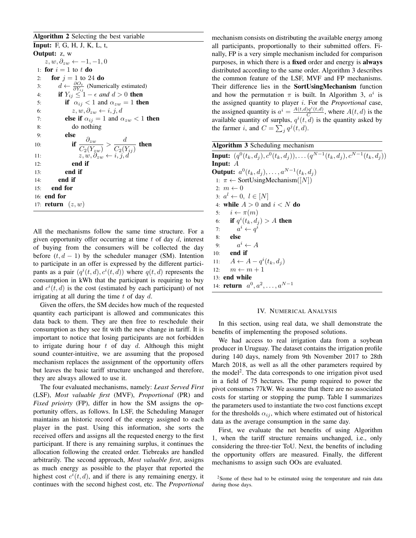#### Algorithm 2 Selecting the best variable

Input: F, G, H, J, K, L, t, Output: z, w  $z, w, \partial_{zw} \leftarrow -1, -1, 0$ 1: for  $i = 1$  to t do 2: **for**  $j = 1$  to 24 **do** 3:  $d \leftarrow \frac{\partial O_t}{\partial Y_{ij}}$  (Numerically estimated) 4: **if**  $Y_{ij} \leq 1 - \epsilon$  and  $d > 0$  then 5: if  $\alpha_{ij} < 1$  and  $\alpha_{zw} = 1$  then 6:  $z, w, \partial_{zw} \leftarrow i, j, d$ 7: **else if**  $\alpha_{ij} = 1$  and  $\alpha_{zw} < 1$  then 8: do nothing 9: else 10:  $\qquad \qquad \text{if } \frac{\partial_{zw}}{C_2(Y_{zw})} > \frac{d}{C_2(Y_{zw})}$  $\frac{d}{C_2(Y_{ij})}$  then 11:  $z, w, \partial_{zw} \leftarrow i, j, d$ 12: end if 13: end if 14: end if 15: end for 16: end for 17: **return**  $(z, w)$ 

All the mechanisms follow the same time structure. For a given opportunity offer occurring at time  $t$  of day  $d$ , interest of buying from the consumers will be collected the day before  $(t, d - 1)$  by the scheduler manager (SM). Intention to participate in an offer is expressed by the different participants as a pair  $(q^{i}(t, d), c^{i}(t, d))$  where  $q(t, d)$  represents the consumption in kWh that the participant is requiring to buy and  $c^{i}(t, d)$  is the cost (estimated by each participant) of not irrigating at all during the time  $t$  of day  $d$ .

Given the offers, the SM decides how much of the requested quantity each participant is allowed and communicates this data back to them. They are then free to reschedule their consumption as they see fit with the new change in tariff. It is important to notice that losing participants are not forbidden to irrigate during hour  $t$  of day  $d$ . Although this might sound counter-intuitive, we are assuming that the proposed mechanism replaces the assignment of the opportunity offers but leaves the basic tariff structure unchanged and therefore, they are always allowed to use it.

The four evaluated mechanisms, namely: *Least Served First* (LSF), *Most valuable first* (MVF), *Proportional* (PR) and *Fixed prioirty* (FP), differ in how the SM assigns the opportunity offers, as follows. In LSF, the Scheduling Manager maintains an historic record of the energy assigned to each player in the past. Using this information, she sorts the received offers and assigns all the requested energy to the first participant. If there is any remaining surplus, it continues the allocation following the created order. Tiebreaks are handled arbitrarily. The second approach, *Most valuable first*, assigns as much energy as possible to the player that reported the highest cost  $c^i(t, d)$ , and if there is any remaining energy, it continues with the second highest cost, etc. The *Proportional*

mechanism consists on distributing the available energy among all participants, proportionally to their submitted offers. Finally, FP is a very simple mechanism included for comparison purposes, in which there is a fixed order and energy is always distributed according to the same order. Algorithm 3 describes the common feature of the LSF, MVF and FP mechanisms. Their difference lies in the SortUsingMechanism function and how the permutation  $\pi$  is built. In Algorithm 3,  $a^i$  is the assigned quantity to player i. For the *Proportional* case, the assigned quantity is  $a^i = \frac{A(t,d)q^{i}(t,d)}{C}$  $\frac{G(t,a)}{C}$ , where  $A(t, d)$  is the available quantity of surplus,  $q^{i}(t, d)$  is the quantity asked by the farmer *i*, and  $C = \sum_j q^j(t, d)$ .

Algorithm 3 Scheduling mechanism

**Input:**  $(q^{0}(t_{k}, d_{j}), c^{0}(t_{k}, d_{j})), \ldots (q^{N-1}(t_{k}, d_{j}), c^{N-1}(t_{k}, d_{j}))$ Input: A **Output:**  $a^0(t_k, d_j), \ldots, a^{N-1}(t_k, d_j)$ 1:  $\pi \leftarrow$  SortUsingMechanism([N]) 2:  $m \leftarrow 0$ 3:  $a^l \leftarrow 0, l \in [N]$ 4: while  $A > 0$  and  $i < N$  do 5:  $i \leftarrow \pi(m)$ 6: if  $q^i(t_k, d_j) > A$  then 7:  $a^i \leftarrow q^i$ 8: else  $9:$  $a^i \leftarrow A$ 10: end if 11:  $A \leftarrow A - q^i(t_k, d_j)$ 12:  $m \leftarrow m + 1$ 13: end while 14: **return**  $a^0, a^2, \ldots, a^{N-1}$ 

#### IV. NUMERICAL ANALYSIS

In this section, using real data, we shall demonstrate the benefits of implementing the proposed solutions.

We had access to real irrigation data from a soybean producer in Uruguay. The dataset contains the irrigation profile during 140 days, namely from 9th November 2017 to 28th March 2018, as well as all the other parameters required by the model<sup>2</sup>. The data corresponds to one irrigation pivot used in a field of 75 hectares. The pump required to power the pivot consumes 77kW. We assume that there are no associated costs for starting or stopping the pump. Table I summarizes the parameters used to instantiate the two cost functions except for the thresholds  $\alpha_{ij}$ , which where estimated out of historical data as the average consumption in the same day.

First, we evaluate the net benefits of using Algorithm 1, when the tariff structure remains unchanged, i.e., only considering the three-tier ToU. Next, the benefits of including the opportunity offers are measured. Finally, the different mechanisms to assign such OOs are evaluated.

<sup>&</sup>lt;sup>2</sup>Some of these had to be estimated using the temperature and rain data during those days.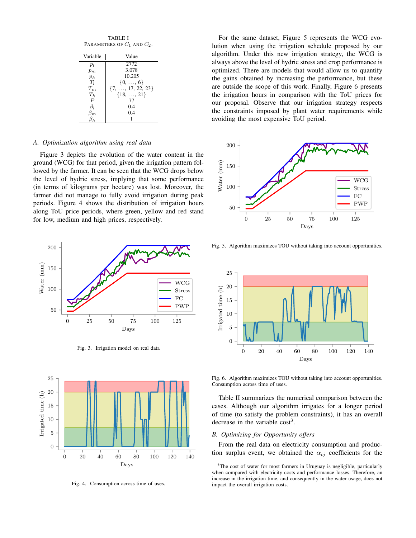| <b>TABLE I</b>                  |  |  |  |
|---------------------------------|--|--|--|
| PARAMETERS OF $C_1$ and $C_2$ . |  |  |  |

| Variable         | Value                       |
|------------------|-----------------------------|
| $p_l$            | 2772                        |
| $p_m$            | 3.078                       |
| $p_h$            | 10.205                      |
| $T_l$            | $\{0, \ldots, 6\}$          |
| $T_m$            | $\{7, \ldots, 17, 22, 23\}$ |
| $T_h$            | $\{18, \ldots, 21\}$        |
| $\boldsymbol{P}$ | 77                          |
| $\beta_I$        | 0.4                         |
| $\beta_m$        | 0.4                         |
|                  |                             |

#### *A. Optimization algorithm using real data*

Figure 3 depicts the evolution of the water content in the ground (WCG) for that period, given the irrigation pattern followed by the farmer. It can be seen that the WCG drops below the level of hydric stress, implying that some performance (in terms of kilograms per hectare) was lost. Moreover, the farmer did not manage to fully avoid irrigation during peak periods. Figure 4 shows the distribution of irrigation hours along ToU price periods, where green, yellow and red stand for low, medium and high prices, respectively.



Fig. 3. Irrigation model on real data



Fig. 4. Consumption across time of uses.

For the same dataset, Figure 5 represents the WCG evolution when using the irrigation schedule proposed by our algorithm. Under this new irrigation strategy, the WCG is always above the level of hydric stress and crop performance is optimized. There are models that would allow us to quantify the gains obtained by increasing the performance, but these are outside the scope of this work. Finally, Figure 6 presents the irrigation hours in comparison with the ToU prices for our proposal. Observe that our irrigation strategy respects the constraints imposed by plant water requirements while avoiding the most expensive ToU period.



Fig. 5. Algorithm maximizes TOU without taking into account opportunities.



Fig. 6. Algorithm maximizes TOU without taking into account opportunities. Consumption across time of uses.

Table II summarizes the numerical comparison between the cases. Although our algorithm irrigates for a longer period of time (to satisfy the problem constraints), it has an overall decrease in the variable  $cost<sup>3</sup>$ .

#### *B. Optimizing for Opportunity offers*

From the real data on electricity consumption and production surplus event, we obtained the  $\alpha_{tj}$  coefficients for the

<sup>&</sup>lt;sup>3</sup>The cost of water for most farmers in Uruguay is negligible, particularly when compared with electricity costs and performance losses. Therefore, an increase in the irrigation time, and consequently in the water usage, does not impact the overall irrigation costs.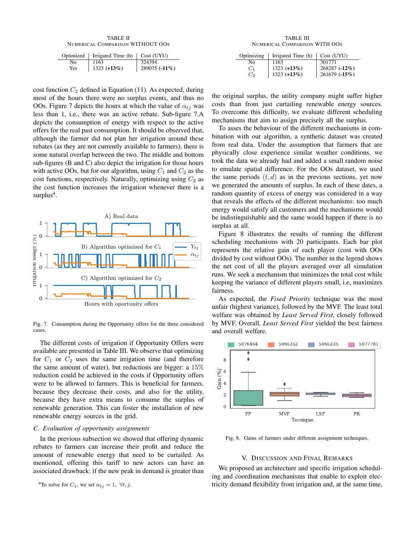TABLE II NUMERICAL COMPARISON WITHOUT OOS

| Optimized | Irrigated Time (h) | Cost (UYU)    |
|-----------|--------------------|---------------|
| No.       | 1163               | 324394        |
| Yes       | 1323 $(+13%)$      | 289075 (-11%) |

cost function  $C_2$  defined in Equation (11). As expected, during most of the hours there were no surplus events, and thus no OOs. Figure 7 depicts the hours at which the value of  $\alpha_{ti}$  was less than 1, i.e., there was an active rebate. Sub-figure 7.A depicts the consumption of energy with respect to the active offers for the real past consumption. It should be observed that, although the farmer did not plan her irrigation around these rebates (as they are not currently available to farmers), there is some natural overlap between the two. The middle and bottom sub-figures (B and C) also depict the irrigation for those hours with active OOs, but for our algorithm, using  $C_1$  and  $C_2$  as the cost functions, respectively. Naturally, optimizing using  $C_2$  as the cost function increases the irrigation whenever there is a surplus<sup>4</sup>.



Fig. 7. Consumption during the Opportunity offers for the three considered cases.

The different costs of irrigation if Opportunity Offers were available are presented in Table III. We observe that optimizing for  $C_1$  or  $C_2$  uses the same irrigation time (and therefore the same amount of water), but reductions are bigger: a  $15\%$ reduction could be achieved in the costs if Opportunity offers were to be allowed to farmers. This is beneficial for farmers, because they decrease their costs, and also for the utility, because they have extra means to consume the surplus of renewable generation. This can foster the installation of new renewable energy sources in the grid.

#### *C. Evaluation of opportunity assignments*

In the previous subsection we showed that offering dynamic rebates to farmers can increase their profit and reduce the amount of renewable energy that need to be curtailed. As mentioned, offering this tariff to new actors can have an associated drawback: if the new peak in demand is greater than

<sup>4</sup>To solve for 
$$
C_1
$$
, we set  $\alpha_{tj} = 1$ ,  $\forall t, j$ .

TABLE III NUMERICAL COMPARISON WITH OOS

| Optimizing | Irrigated Time (h)             | Cost (UYU)    |
|------------|--------------------------------|---------------|
| Nο         | 1163                           | 301771        |
| $C_1$      | $1323 (+13%)$<br>$1323 (+13%)$ | 268287 (-12%) |
| Сэ         |                                | 261679 (-15%) |

the original surplus, the utility company might suffer higher costs than from just curtailing renewable energy sources. To overcome this difficulty, we evaluate different scheduling mechanisms that aim to assign precisely all the surplus.

To asses the behaviour of the different mechanisms in combination with our algorithm, a synthetic dataset was created from real data. Under the assumption that farmers that are physically close experience similar weather conditions, we took the data we already had and added a small random noise to emulate spatial difference. For the OOs dataset, we used the same periods  $(t, d)$  as in the previous sections, yet now we generated the amounts of surplus. In each of these dates, a random quantity of excess of energy was considered in a way that reveals the effects of the different mechanisms: too much energy would satisfy all customers and the mechanisms would be indistinguishable and the same would happen if there is no surplus at all.

Figure 8 illustrates the results of running the different scheduling mechanisms with 20 participants. Each bar plot represents the relative gain of each player (cost with OOs divided by cost without OOs). The number in the legend shows the net cost of all the players averaged over all simulation runs. We seek a mechanism that minimizes the total cost while keeping the variance of different players small, i.e, maximizes fairness.

As expected, the *Fixed Priority* technique was the most unfair (highest variance), followed by the MVF. The least total welfare was obtained by *Least Served First*, closely followed by MVF. Overall, *Least Served First* yielded the best fairness and overall welfare.



Fig. 8. Gains of farmers under different assignment techniques.

#### V. DISCUSSION AND FINAL REMARKS

We proposed an architecture and specific irrigation scheduling and coordination mechanisms that enable to exploit electricity demand flexibility from irrigation and, at the same time,